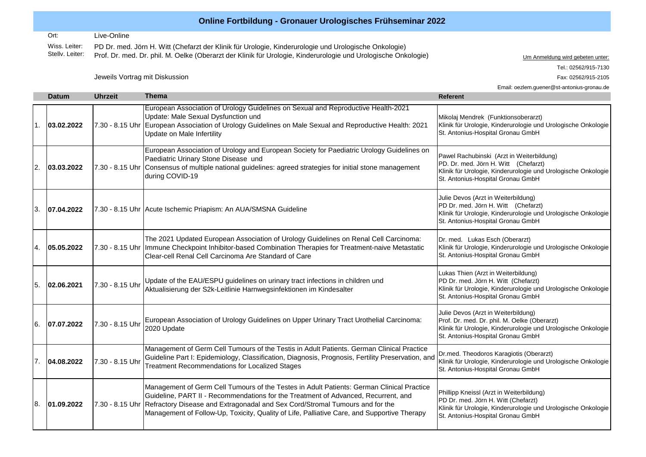## **Online Fortbildung - Gronauer Urologisches Frühseminar 2022**

Ort: Live-Online

Wiss. Leiter:<br>Stellv. Leiter: Stellv. Leiter: Prof. Dr. med. Dr. phil. M. Oelke (Oberarzt der Klinik für Urologie, Kinderurologie und Urologische Onkologie) www. Der kommeldung wird gebeten unter: PD Dr. med. Jörn H. Witt (Chefarzt der Klinik für Urologie, Kinderurologie und Urologische Onkologie)

Email: oezlem.guener@st-antonius-gronau.de

Tel.: 02562/915-7130

Jeweils Vortrag mit Diskussion Fax: 02562/915-2105

**Datum Uhrzeit Thema Referent** European Association of Urology Guidelines on Sexual and Reproductive Health-2021 Mikolaj Mendrek (Funktionsoberarzt) Klinik für Urologie, Kinderurologie und Urologische Onkologie

| 1.               | 03.02.2022 |                 | Update: Male Sexual Dysfunction und<br>7.30 - 8.15 Uhr European Association of Urology Guidelines on Male Sexual and Reproductive Health: 2021<br>Update on Male Infertility                                                                                                                                                                                                   | Mikolaj Mendrek (Funktionsoberarzt)<br>Klinik für Urologie, Kinderurologie und Urologische Onkologie<br>St. Antonius-Hospital Gronau GmbH                                                 |
|------------------|------------|-----------------|--------------------------------------------------------------------------------------------------------------------------------------------------------------------------------------------------------------------------------------------------------------------------------------------------------------------------------------------------------------------------------|-------------------------------------------------------------------------------------------------------------------------------------------------------------------------------------------|
| $\overline{2}$ . | 03.03.2022 |                 | European Association of Urology and European Society for Paediatric Urology Guidelines on<br>Paediatric Urinary Stone Disease und<br>7.30 - 8.15 Uhr Consensus of multiple national guidelines: agreed strategies for initial stone management<br>during COVID-19                                                                                                              | Pawel Rachubinski (Arzt in Weiterbildung)<br>PD. Dr. med. Jörn H. Witt (Chefarzt)<br>Klinik für Urologie, Kinderurologie und Urologische Onkologie<br>St. Antonius-Hospital Gronau GmbH   |
| 3.               | 07.04.2022 |                 | 7.30 - 8.15 Uhr Acute Ischemic Priapism: An AUA/SMSNA Guideline                                                                                                                                                                                                                                                                                                                | Julie Devos (Arzt in Weiterbildung)<br>PD Dr. med. Jörn H. Witt (Chefarzt)<br>Klinik für Urologie, Kinderurologie und Urologische Onkologie<br>St. Antonius-Hospital Gronau GmbH          |
| 4.               | 05.05.2022 |                 | The 2021 Updated European Association of Urology Guidelines on Renal Cell Carcinoma:<br>7.30 - 8.15 Uhr   Immune Checkpoint Inhibitor-based Combination Therapies for Treatment-naive Metastatic<br>Clear-cell Renal Cell Carcinoma Are Standard of Care                                                                                                                       | Dr. med. Lukas Esch (Oberarzt)<br>Klinik für Urologie, Kinderurologie und Urologische Onkologie<br>St. Antonius-Hospital Gronau GmbH                                                      |
| 5.               | 02.06.2021 | 7.30 - 8.15 Uhr | Update of the EAU/ESPU guidelines on urinary tract infections in children und<br>Aktualisierung der S2k-Leitlinie Harnwegsinfektionen im Kindesalter                                                                                                                                                                                                                           | Lukas Thien (Arzt in Weiterbildung)<br>PD Dr. med. Jörn H. Witt (Chefarzt)<br>Klinik für Urologie, Kinderurologie und Urologische Onkologie<br>St. Antonius-Hospital Gronau GmbH          |
| 16.              | 07.07.2022 | 7.30 - 8.15 Uhr | European Association of Urology Guidelines on Upper Urinary Tract Urothelial Carcinoma:<br>2020 Update                                                                                                                                                                                                                                                                         | Julie Devos (Arzt in Weiterbildung)<br>Prof. Dr. med. Dr. phil. M. Oelke (Oberarzt)<br>Klinik für Urologie, Kinderurologie und Urologische Onkologie<br>St. Antonius-Hospital Gronau GmbH |
| 7 <sub>1</sub>   | 04.08.2022 | 7.30 - 8.15 Uhr | Management of Germ Cell Tumours of the Testis in Adult Patients. German Clinical Practice<br>Guideline Part I: Epidemiology, Classification, Diagnosis, Prognosis, Fertility Preservation, and<br><b>Treatment Recommendations for Localized Stages</b>                                                                                                                        | Dr.med. Theodoros Karagiotis (Oberarzt)<br>Klinik für Urologie, Kinderurologie und Urologische Onkologie<br>St. Antonius-Hospital Gronau GmbH                                             |
| 18.              | 01.09.2022 |                 | Management of Germ Cell Tumours of the Testes in Adult Patients: German Clinical Practice<br>Guideline, PART II - Recommendations for the Treatment of Advanced, Recurrent, and<br>7.30 - 8.15 Uhr Refractory Disease and Extragonadal and Sex Cord/Stromal Tumours and for the<br>Management of Follow-Up, Toxicity, Quality of Life, Palliative Care, and Supportive Therapy | Phillipp Kneissl (Arzt in Weiterbildung)<br>PD Dr. med. Jörn H. Witt (Chefarzt)<br>Klinik für Urologie, Kinderurologie und Urologische Onkologie<br>St. Antonius-Hospital Gronau GmbH     |